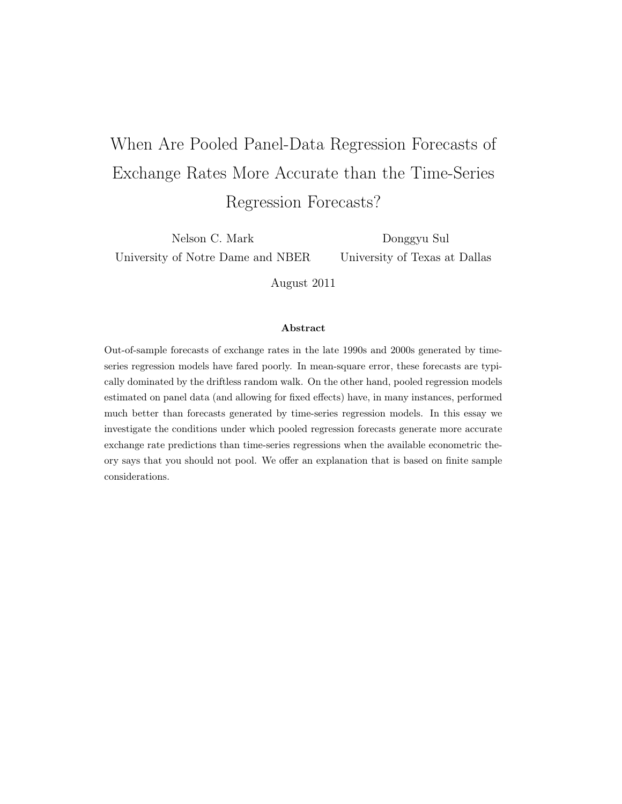# When Are Pooled Panel-Data Regression Forecasts of Exchange Rates More Accurate than the Time-Series Regression Forecasts?

Nelson C. Mark University of Notre Dame and NBER

Donggyu Sul University of Texas at Dallas

August 2011

#### Abstract

Out-of-sample forecasts of exchange rates in the late 1990s and 2000s generated by timeseries regression models have fared poorly. In mean-square error, these forecasts are typically dominated by the driftless random walk. On the other hand, pooled regression models estimated on panel data (and allowing for fixed effects) have, in many instances, performed much better than forecasts generated by time-series regression models. In this essay we investigate the conditions under which pooled regression forecasts generate more accurate exchange rate predictions than time-series regressions when the available econometric theory says that you should not pool. We offer an explanation that is based on finite sample considerations.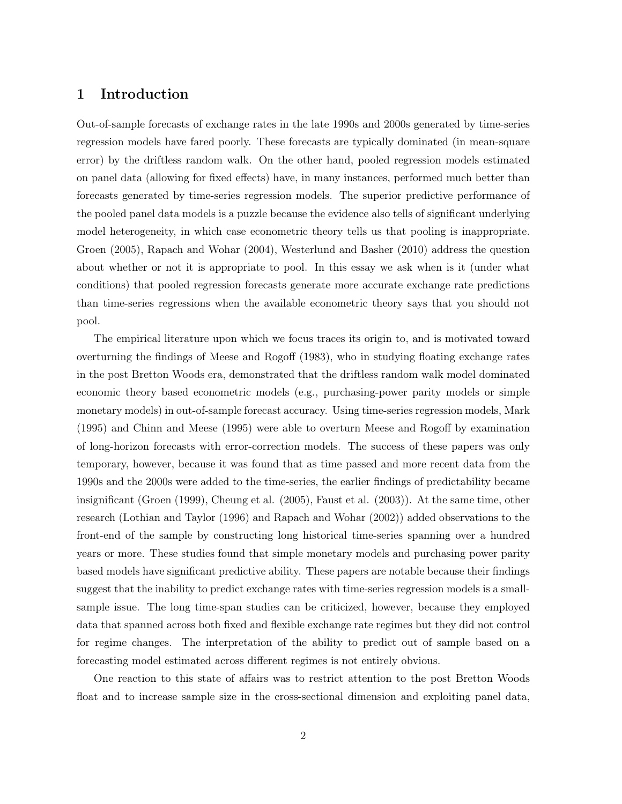# 1 Introduction

Out-of-sample forecasts of exchange rates in the late 1990s and 2000s generated by time-series regression models have fared poorly. These forecasts are typically dominated (in mean-square error) by the driftless random walk. On the other hand, pooled regression models estimated on panel data (allowing for fixed effects) have, in many instances, performed much better than forecasts generated by time-series regression models. The superior predictive performance of the pooled panel data models is a puzzle because the evidence also tells of significant underlying model heterogeneity, in which case econometric theory tells us that pooling is inappropriate. Groen (2005), Rapach and Wohar (2004), Westerlund and Basher (2010) address the question about whether or not it is appropriate to pool. In this essay we ask when is it (under what conditions) that pooled regression forecasts generate more accurate exchange rate predictions than time-series regressions when the available econometric theory says that you should not pool.

The empirical literature upon which we focus traces its origin to, and is motivated toward overturning the findings of Meese and Rogoff (1983), who in studying floating exchange rates in the post Bretton Woods era, demonstrated that the driftless random walk model dominated economic theory based econometric models (e.g., purchasing-power parity models or simple monetary models) in out-of-sample forecast accuracy. Using time-series regression models, Mark (1995) and Chinn and Meese (1995) were able to overturn Meese and Rogoff by examination of long-horizon forecasts with error-correction models. The success of these papers was only temporary, however, because it was found that as time passed and more recent data from the 1990s and the 2000s were added to the time-series, the earlier findings of predictability became insignificant (Groen (1999), Cheung et al. (2005), Faust et al. (2003)). At the same time, other research (Lothian and Taylor (1996) and Rapach and Wohar (2002)) added observations to the front-end of the sample by constructing long historical time-series spanning over a hundred years or more. These studies found that simple monetary models and purchasing power parity based models have significant predictive ability. These papers are notable because their findings suggest that the inability to predict exchange rates with time-series regression models is a smallsample issue. The long time-span studies can be criticized, however, because they employed data that spanned across both fixed and flexible exchange rate regimes but they did not control for regime changes. The interpretation of the ability to predict out of sample based on a forecasting model estimated across different regimes is not entirely obvious.

One reaction to this state of affairs was to restrict attention to the post Bretton Woods float and to increase sample size in the cross-sectional dimension and exploiting panel data,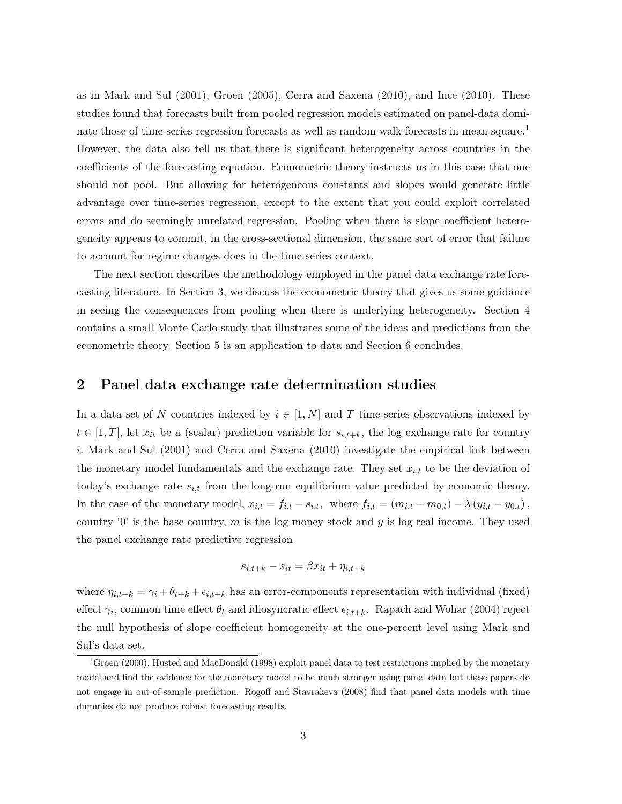as in Mark and Sul (2001), Groen (2005), Cerra and Saxena (2010), and Ince (2010). These studies found that forecasts built from pooled regression models estimated on panel-data dominate those of time-series regression forecasts as well as random walk forecasts in mean square.<sup>1</sup> However, the data also tell us that there is significant heterogeneity across countries in the coefficients of the forecasting equation. Econometric theory instructs us in this case that one should not pool. But allowing for heterogeneous constants and slopes would generate little advantage over time-series regression, except to the extent that you could exploit correlated errors and do seemingly unrelated regression. Pooling when there is slope coefficient heterogeneity appears to commit, in the cross-sectional dimension, the same sort of error that failure to account for regime changes does in the time-series context.

The next section describes the methodology employed in the panel data exchange rate forecasting literature. In Section 3, we discuss the econometric theory that gives us some guidance in seeing the consequences from pooling when there is underlying heterogeneity. Section 4 contains a small Monte Carlo study that illustrates some of the ideas and predictions from the econometric theory. Section 5 is an application to data and Section 6 concludes.

## 2 Panel data exchange rate determination studies

In a data set of N countries indexed by  $i \in [1, N]$  and T time-series observations indexed by  $t \in [1, T]$ , let  $x_{it}$  be a (scalar) prediction variable for  $s_{i,t+k}$ , the log exchange rate for country i. Mark and Sul (2001) and Cerra and Saxena (2010) investigate the empirical link between the monetary model fundamentals and the exchange rate. They set  $x_{i,t}$  to be the deviation of today's exchange rate  $s_{i,t}$  from the long-run equilibrium value predicted by economic theory. In the case of the monetary model,  $x_{i,t} = f_{i,t} - s_{i,t}$ , where  $f_{i,t} = (m_{i,t} - m_{0,t}) - \lambda (y_{i,t} - y_{0,t})$ , country '0' is the base country, m is the log money stock and  $y$  is log real income. They used the panel exchange rate predictive regression

$$
s_{i,t+k} - s_{it} = \beta x_{it} + \eta_{i,t+k}
$$

where  $\eta_{i,t+k} = \gamma_i + \theta_{t+k} + \epsilon_{i,t+k}$  has an error-components representation with individual (fixed) effect  $\gamma_i$ , common time effect  $\theta_t$  and idiosyncratic effect  $\epsilon_{i,t+k}$ . Rapach and Wohar (2004) reject the null hypothesis of slope coefficient homogeneity at the one-percent level using Mark and Sul's data set.

<sup>&</sup>lt;sup>1</sup>Groen (2000), Husted and MacDonald (1998) exploit panel data to test restrictions implied by the monetary model and find the evidence for the monetary model to be much stronger using panel data but these papers do not engage in out-of-sample prediction. Rogoff and Stavrakeva (2008) find that panel data models with time dummies do not produce robust forecasting results.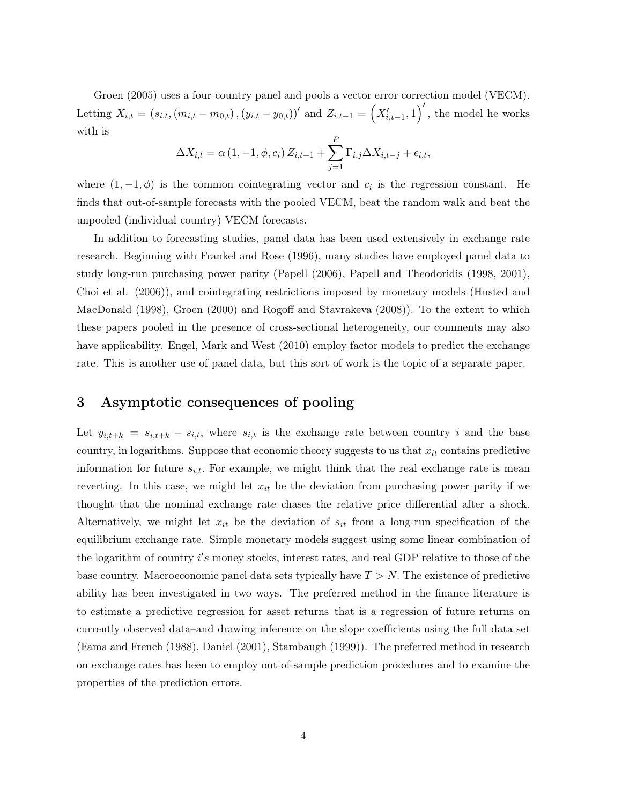Groen (2005) uses a four-country panel and pools a vector error correction model (VECM). Letting  $X_{i,t} = (s_{i,t}, (m_{i,t} - m_{0,t}), (y_{i,t} - y_{0,t}))'$  and  $Z_{i,t-1} = (X'_{i,t-1}, 1)$ , the model he works with is

$$
\Delta X_{i,t} = \alpha (1, -1, \phi, c_i) Z_{i,t-1} + \sum_{j=1}^{P} \Gamma_{i,j} \Delta X_{i,t-j} + \epsilon_{i,t},
$$

where  $(1, -1, \phi)$  is the common cointegrating vector and  $c_i$  is the regression constant. He finds that out-of-sample forecasts with the pooled VECM, beat the random walk and beat the unpooled (individual country) VECM forecasts.

In addition to forecasting studies, panel data has been used extensively in exchange rate research. Beginning with Frankel and Rose (1996), many studies have employed panel data to study long-run purchasing power parity (Papell (2006), Papell and Theodoridis (1998, 2001), Choi et al. (2006)), and cointegrating restrictions imposed by monetary models (Husted and MacDonald (1998), Groen (2000) and Rogoff and Stavrakeva (2008)). To the extent to which these papers pooled in the presence of cross-sectional heterogeneity, our comments may also have applicability. Engel, Mark and West (2010) employ factor models to predict the exchange rate. This is another use of panel data, but this sort of work is the topic of a separate paper.

# 3 Asymptotic consequences of pooling

Let  $y_{i,t+k} = s_{i,t+k} - s_{i,t}$ , where  $s_{i,t}$  is the exchange rate between country i and the base country, in logarithms. Suppose that economic theory suggests to us that  $x_{it}$  contains predictive information for future  $s_{i,t}$ . For example, we might think that the real exchange rate is mean reverting. In this case, we might let  $x_{it}$  be the deviation from purchasing power parity if we thought that the nominal exchange rate chases the relative price differential after a shock. Alternatively, we might let  $x_{it}$  be the deviation of  $s_{it}$  from a long-run specification of the equilibrium exchange rate. Simple monetary models suggest using some linear combination of the logarithm of country i's money stocks, interest rates, and real GDP relative to those of the base country. Macroeconomic panel data sets typically have  $T > N$ . The existence of predictive ability has been investigated in two ways. The preferred method in the finance literature is to estimate a predictive regression for asset returns–that is a regression of future returns on currently observed data–and drawing inference on the slope coefficients using the full data set (Fama and French (1988), Daniel (2001), Stambaugh (1999)). The preferred method in research on exchange rates has been to employ out-of-sample prediction procedures and to examine the properties of the prediction errors.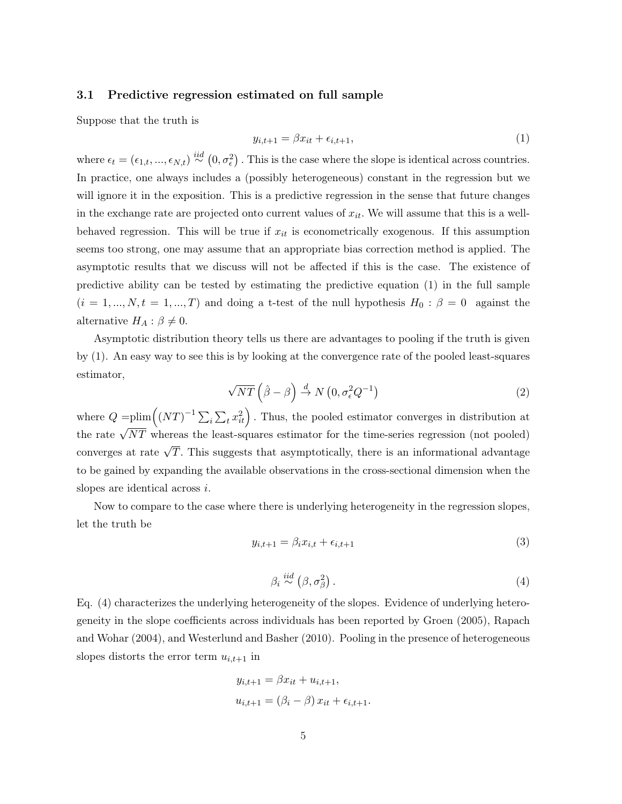#### 3.1 Predictive regression estimated on full sample

Suppose that the truth is

$$
y_{i,t+1} = \beta x_{it} + \epsilon_{i,t+1},\tag{1}
$$

where  $\epsilon_t = (\epsilon_{1,t}, ..., \epsilon_{N,t}) \stackrel{iid}{\sim} (0, \sigma_\epsilon^2)$ . This is the case where the slope is identical across countries. In practice, one always includes a (possibly heterogeneous) constant in the regression but we will ignore it in the exposition. This is a predictive regression in the sense that future changes in the exchange rate are projected onto current values of  $x_{it}$ . We will assume that this is a wellbehaved regression. This will be true if  $x_{it}$  is econometrically exogenous. If this assumption seems too strong, one may assume that an appropriate bias correction method is applied. The asymptotic results that we discuss will not be affected if this is the case. The existence of predictive ability can be tested by estimating the predictive equation (1) in the full sample  $(i = 1, ..., N, t = 1, ..., T)$  and doing a t-test of the null hypothesis  $H_0: \beta = 0$  against the alternative  $H_A: \beta \neq 0$ .

Asymptotic distribution theory tells us there are advantages to pooling if the truth is given by (1). An easy way to see this is by looking at the convergence rate of the pooled least-squares estimator,

$$
\sqrt{NT}\left(\hat{\beta}-\beta\right) \stackrel{d}{\rightarrow} N\left(0, \sigma_{\epsilon}^2 Q^{-1}\right) \tag{2}
$$

where  $Q = \text{plim}((NT)^{-1}\sum_{i}\sum_{t}x_{it}^{2})$ . Thus, the pooled estimator converges in distribution at the rate  $\sqrt{NT}$  whereas the least-squares estimator for the time-series regression (not pooled) converges at rate  $\sqrt{T}$ . This suggests that asymptotically, there is an informational advantage to be gained by expanding the available observations in the cross-sectional dimension when the slopes are identical across i.

Now to compare to the case where there is underlying heterogeneity in the regression slopes, let the truth be

$$
y_{i,t+1} = \beta_i x_{i,t} + \epsilon_{i,t+1} \tag{3}
$$

$$
\beta_i \stackrel{iid}{\sim} (\beta, \sigma_\beta^2). \tag{4}
$$

Eq. (4) characterizes the underlying heterogeneity of the slopes. Evidence of underlying heterogeneity in the slope coefficients across individuals has been reported by Groen (2005), Rapach and Wohar (2004), and Westerlund and Basher (2010). Pooling in the presence of heterogeneous slopes distorts the error term  $u_{i,t+1}$  in

$$
y_{i,t+1} = \beta x_{it} + u_{i,t+1},
$$
  

$$
u_{i,t+1} = (\beta_i - \beta) x_{it} + \epsilon_{i,t+1}.
$$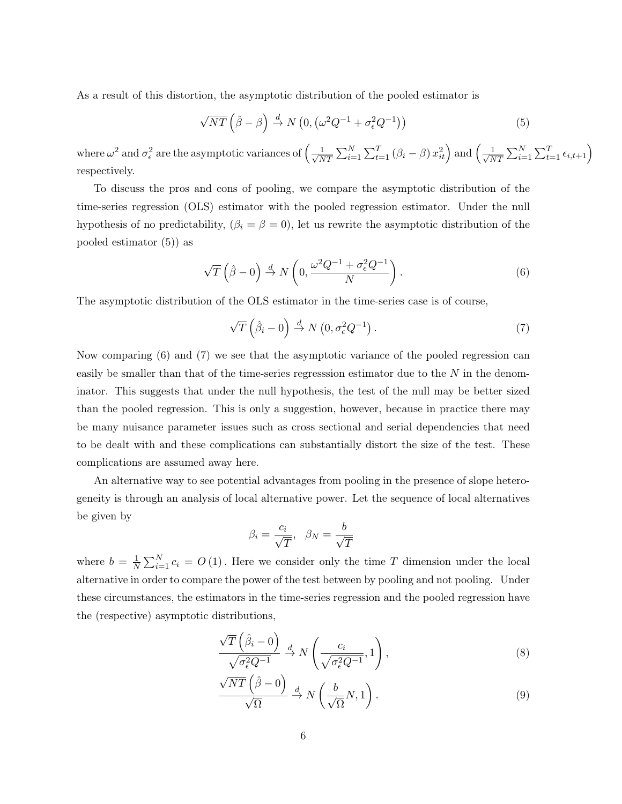As a result of this distortion, the asymptotic distribution of the pooled estimator is

$$
\sqrt{NT}\left(\hat{\beta}-\beta\right) \stackrel{d}{\rightarrow} N\left(0, \left(\omega^2 Q^{-1} + \sigma_\epsilon^2 Q^{-1}\right)\right) \tag{5}
$$

where  $\omega^2$  and  $\sigma_{\epsilon}^2$  are the asymptotic variances of  $\left(\frac{1}{\sqrt{\lambda}}\right)$  $\frac{1}{NT} \sum_{i=1}^{N} \sum_{t=1}^{T} (\beta_i - \beta) x_{it}^2 \right)$  and  $\left(\frac{1}{\sqrt{N}}\right)$  $\frac{1}{NT} \sum_{i=1}^{N} \sum_{t=1}^{T} \epsilon_{i,t+1}$ respectively.

To discuss the pros and cons of pooling, we compare the asymptotic distribution of the time-series regression (OLS) estimator with the pooled regression estimator. Under the null hypothesis of no predictability,  $(\beta_i = \beta = 0)$ , let us rewrite the asymptotic distribution of the pooled estimator (5)) as

$$
\sqrt{T}\left(\hat{\beta}-0\right) \stackrel{d}{\rightarrow} N\left(0, \frac{\omega^2 Q^{-1} + \sigma_\epsilon^2 Q^{-1}}{N}\right). \tag{6}
$$

The asymptotic distribution of the OLS estimator in the time-series case is of course,

$$
\sqrt{T}\left(\hat{\beta}_i - 0\right) \stackrel{d}{\rightarrow} N\left(0, \sigma_\epsilon^2 Q^{-1}\right). \tag{7}
$$

Now comparing (6) and (7) we see that the asymptotic variance of the pooled regression can easily be smaller than that of the time-series regresssion estimator due to the  $N$  in the denominator. This suggests that under the null hypothesis, the test of the null may be better sized than the pooled regression. This is only a suggestion, however, because in practice there may be many nuisance parameter issues such as cross sectional and serial dependencies that need to be dealt with and these complications can substantially distort the size of the test. These complications are assumed away here.

An alternative way to see potential advantages from pooling in the presence of slope heterogeneity is through an analysis of local alternative power. Let the sequence of local alternatives be given by

$$
\beta_i = \frac{c_i}{\sqrt{T}}, \ \ \beta_N = \frac{b}{\sqrt{T}}
$$

where  $b = \frac{1}{\lambda}$  $\frac{1}{N}\sum_{i=1}^{N} c_i = O(1)$ . Here we consider only the time T dimension under the local alternative in order to compare the power of the test between by pooling and not pooling. Under these circumstances, the estimators in the time-series regression and the pooled regression have the (respective) asymptotic distributions,

$$
\frac{\sqrt{T}\left(\hat{\beta}_i - 0\right)}{\sqrt{\sigma_\epsilon^2 Q^{-1}}} \xrightarrow{d} N\left(\frac{c_i}{\sqrt{\sigma_\epsilon^2 Q^{-1}}}, 1\right),\tag{8}
$$

$$
\frac{\sqrt{NT}\left(\hat{\beta}-0\right)}{\sqrt{\Omega}} \stackrel{d}{\rightarrow} N\left(\frac{b}{\sqrt{\Omega}}N,1\right). \tag{9}
$$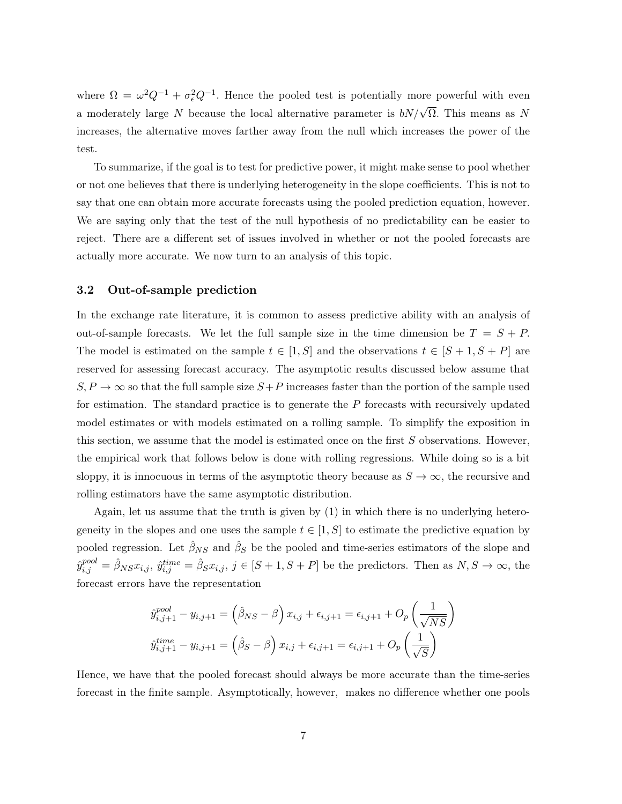where  $\Omega = \omega^2 Q^{-1} + \sigma_{\epsilon}^2 Q^{-1}$ . Hence the pooled test is potentially more powerful with even a moderately large N because the local alternative parameter is  $bN/\sqrt{\Omega}$ . This means as N increases, the alternative moves farther away from the null which increases the power of the test.

To summarize, if the goal is to test for predictive power, it might make sense to pool whether or not one believes that there is underlying heterogeneity in the slope coefficients. This is not to say that one can obtain more accurate forecasts using the pooled prediction equation, however. We are saying only that the test of the null hypothesis of no predictability can be easier to reject. There are a different set of issues involved in whether or not the pooled forecasts are actually more accurate. We now turn to an analysis of this topic.

#### 3.2 Out-of-sample prediction

In the exchange rate literature, it is common to assess predictive ability with an analysis of out-of-sample forecasts. We let the full sample size in the time dimension be  $T = S + P$ . The model is estimated on the sample  $t \in [1, S]$  and the observations  $t \in [S + 1, S + P]$  are reserved for assessing forecast accuracy. The asymptotic results discussed below assume that  $S, P \to \infty$  so that the full sample size  $S+P$  increases faster than the portion of the sample used for estimation. The standard practice is to generate the  $P$  forecasts with recursively updated model estimates or with models estimated on a rolling sample. To simplify the exposition in this section, we assume that the model is estimated once on the first  $S$  observations. However, the empirical work that follows below is done with rolling regressions. While doing so is a bit sloppy, it is innocuous in terms of the asymptotic theory because as  $S \to \infty$ , the recursive and rolling estimators have the same asymptotic distribution.

Again, let us assume that the truth is given by (1) in which there is no underlying heterogeneity in the slopes and one uses the sample  $t \in [1, S]$  to estimate the predictive equation by pooled regression. Let  $\hat{\beta}_{NS}$  and  $\hat{\beta}_{S}$  be the pooled and time-series estimators of the slope and  $\hat{y}_{i,j}^{pool} = \hat{\beta}_{NS} x_{i,j}, \ \hat{y}_{i,j}^{time} = \hat{\beta}_S x_{i,j}, \ j \in [S+1, S+P]$  be the predictors. Then as  $N, S \to \infty$ , the forecast errors have the representation

$$
\hat{y}_{i,j+1}^{pool} - y_{i,j+1} = (\hat{\beta}_{NS} - \beta) x_{i,j} + \epsilon_{i,j+1} = \epsilon_{i,j+1} + O_p\left(\frac{1}{\sqrt{NS}}\right)
$$

$$
\hat{y}_{i,j+1}^{time} - y_{i,j+1} = (\hat{\beta}_S - \beta) x_{i,j} + \epsilon_{i,j+1} = \epsilon_{i,j+1} + O_p\left(\frac{1}{\sqrt{S}}\right)
$$

Hence, we have that the pooled forecast should always be more accurate than the time-series forecast in the finite sample. Asymptotically, however, makes no difference whether one pools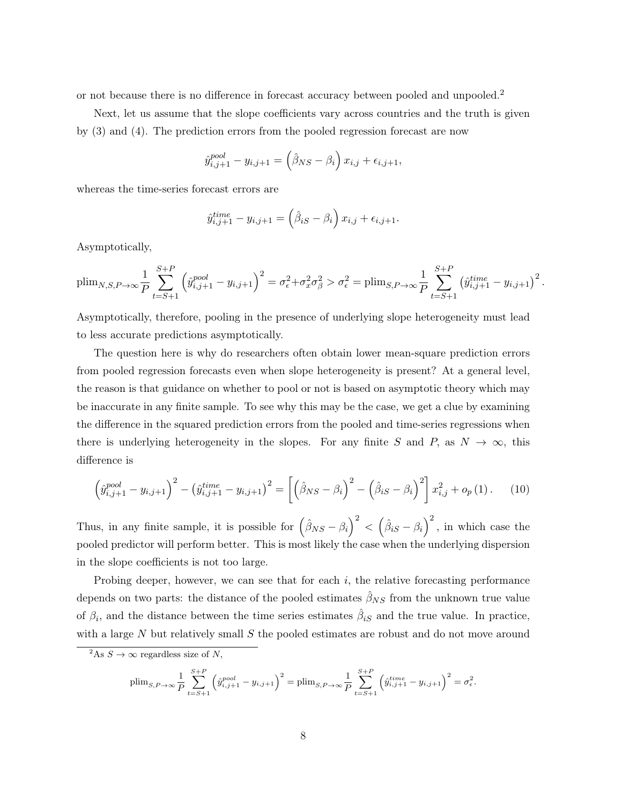or not because there is no difference in forecast accuracy between pooled and unpooled.<sup>2</sup>

Next, let us assume that the slope coefficients vary across countries and the truth is given by (3) and (4). The prediction errors from the pooled regression forecast are now

$$
\hat{y}_{i,j+1}^{pool} - y_{i,j+1} = (\hat{\beta}_{NS} - \beta_i) x_{i,j} + \epsilon_{i,j+1},
$$

whereas the time-series forecast errors are

$$
\hat{y}_{i,j+1}^{time} - y_{i,j+1} = (\hat{\beta}_{iS} - \beta_i) x_{i,j} + \epsilon_{i,j+1}.
$$

Asymptotically,

$$
\text{plim}_{N,S,P\to\infty} \frac{1}{P} \sum_{t=S+1}^{S+P} \left( \hat{y}_{i,j+1}^{pool} - y_{i,j+1} \right)^2 = \sigma_{\epsilon}^2 + \sigma_x^2 \sigma_{\beta}^2 > \sigma_{\epsilon}^2 = \text{plim}_{S,P\to\infty} \frac{1}{P} \sum_{t=S+1}^{S+P} \left( \hat{y}_{i,j+1}^{time} - y_{i,j+1} \right)^2.
$$

Asymptotically, therefore, pooling in the presence of underlying slope heterogeneity must lead to less accurate predictions asymptotically.

The question here is why do researchers often obtain lower mean-square prediction errors from pooled regression forecasts even when slope heterogeneity is present? At a general level, the reason is that guidance on whether to pool or not is based on asymptotic theory which may be inaccurate in any finite sample. To see why this may be the case, we get a clue by examining the difference in the squared prediction errors from the pooled and time-series regressions when there is underlying heterogeneity in the slopes. For any finite S and P, as  $N \to \infty$ , this difference is

$$
\left(\hat{y}_{i,j+1}^{pool} - y_{i,j+1}\right)^2 - \left(\hat{y}_{i,j+1}^{time} - y_{i,j+1}\right)^2 = \left[\left(\hat{\beta}_{NS} - \beta_i\right)^2 - \left(\hat{\beta}_{iS} - \beta_i\right)^2\right]x_{i,j}^2 + o_p(1). \tag{10}
$$

Thus, in any finite sample, it is possible for  $(\hat{\beta}_{NS} - \beta_i)^2 < (\hat{\beta}_{iS} - \beta_i)^2$ , in which case the pooled predictor will perform better. This is most likely the case when the underlying dispersion in the slope coefficients is not too large.

Probing deeper, however, we can see that for each  $i$ , the relative forecasting performance depends on two parts: the distance of the pooled estimates  $\hat{\beta}_{NS}$  from the unknown true value of  $\beta_i$ , and the distance between the time series estimates  $\hat{\beta}_{iS}$  and the true value. In practice, with a large  $N$  but relatively small  $S$  the pooled estimates are robust and do not move around

$$
\text{plim}_{S,P\to\infty} \frac{1}{P} \sum_{t=S+1}^{S+P} \left( \hat{y}_{i,j+1}^{pool} - y_{i,j+1} \right)^2 = \text{plim}_{S,P\to\infty} \frac{1}{P} \sum_{t=S+1}^{S+P} \left( \hat{y}_{i,j+1}^{time} - y_{i,j+1} \right)^2 = \sigma_{\epsilon}^2.
$$

<sup>&</sup>lt;sup>2</sup>As  $S \to \infty$  regardless size of N,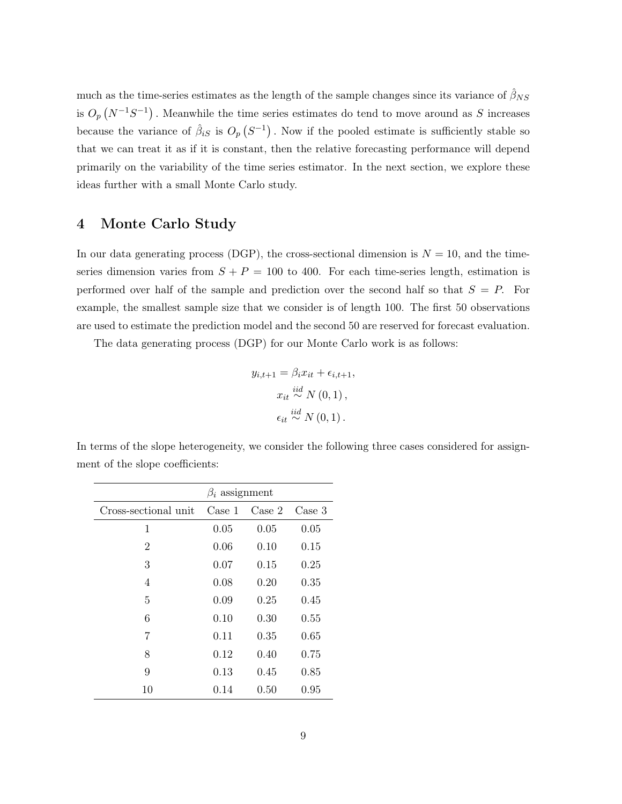much as the time-series estimates as the length of the sample changes since its variance of  $\hat{\beta}_{NS}$ is  $O_p(N^{-1}S^{-1})$ . Meanwhile the time series estimates do tend to move around as S increases because the variance of  $\hat{\beta}_{iS}$  is  $O_p(S^{-1})$ . Now if the pooled estimate is sufficiently stable so that we can treat it as if it is constant, then the relative forecasting performance will depend primarily on the variability of the time series estimator. In the next section, we explore these ideas further with a small Monte Carlo study.

# 4 Monte Carlo Study

In our data generating process (DGP), the cross-sectional dimension is  $N = 10$ , and the timeseries dimension varies from  $S + P = 100$  to 400. For each time-series length, estimation is performed over half of the sample and prediction over the second half so that  $S = P$ . For example, the smallest sample size that we consider is of length 100. The first 50 observations are used to estimate the prediction model and the second 50 are reserved for forecast evaluation.

The data generating process (DGP) for our Monte Carlo work is as follows:

$$
y_{i,t+1} = \beta_i x_{it} + \epsilon_{i,t+1},
$$

$$
x_{it} \stackrel{iid}{\sim} N(0,1),
$$

$$
\epsilon_{it} \stackrel{iid}{\sim} N(0,1).
$$

In terms of the slope heterogeneity, we consider the following three cases considered for assignment of the slope coefficients:

|                      | $\beta_i$ assignment |        |        |  |  |  |
|----------------------|----------------------|--------|--------|--|--|--|
| Cross-sectional unit | Case 1               | Case 2 | Case 3 |  |  |  |
| 1                    | 0.05                 | 0.05   | 0.05   |  |  |  |
| $\overline{2}$       | 0.06                 | 0.10   | 0.15   |  |  |  |
| 3                    | 0.07                 | 0.15   | 0.25   |  |  |  |
| 4                    | 0.08                 | 0.20   | 0.35   |  |  |  |
| 5                    | 0.09                 | 0.25   | 0.45   |  |  |  |
| 6                    | 0.10                 | 0.30   | 0.55   |  |  |  |
| 7                    | 0.11                 | 0.35   | 0.65   |  |  |  |
| 8                    | 0.12                 | 0.40   | 0.75   |  |  |  |
| 9                    | 0.13                 | 0.45   | 0.85   |  |  |  |
| 10                   | 0.14                 | 0.50   | 0.95   |  |  |  |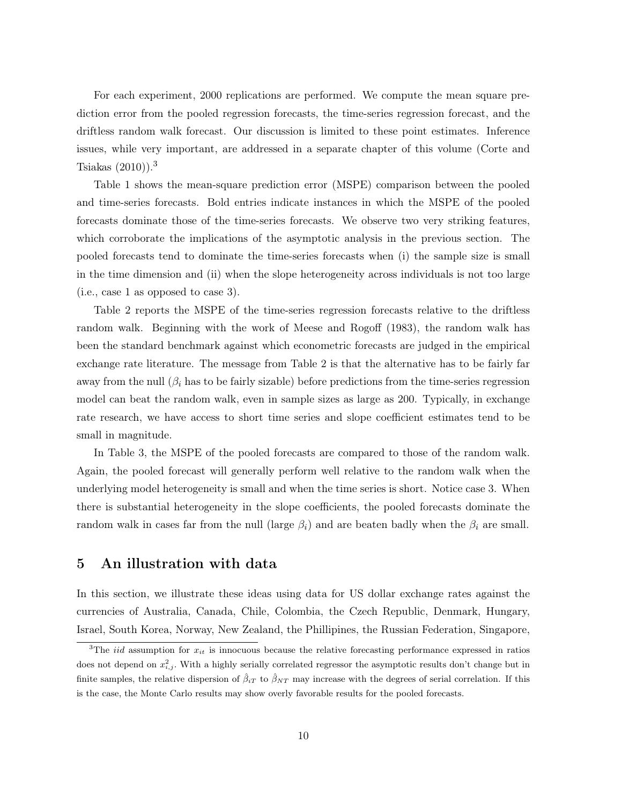For each experiment, 2000 replications are performed. We compute the mean square prediction error from the pooled regression forecasts, the time-series regression forecast, and the driftless random walk forecast. Our discussion is limited to these point estimates. Inference issues, while very important, are addressed in a separate chapter of this volume (Corte and Tsiakas  $(2010)$ .<sup>3</sup>

Table 1 shows the mean-square prediction error (MSPE) comparison between the pooled and time-series forecasts. Bold entries indicate instances in which the MSPE of the pooled forecasts dominate those of the time-series forecasts. We observe two very striking features, which corroborate the implications of the asymptotic analysis in the previous section. The pooled forecasts tend to dominate the time-series forecasts when (i) the sample size is small in the time dimension and (ii) when the slope heterogeneity across individuals is not too large (i.e., case 1 as opposed to case 3).

Table 2 reports the MSPE of the time-series regression forecasts relative to the driftless random walk. Beginning with the work of Meese and Rogoff (1983), the random walk has been the standard benchmark against which econometric forecasts are judged in the empirical exchange rate literature. The message from Table 2 is that the alternative has to be fairly far away from the null  $(\beta_i)$  has to be fairly sizable) before predictions from the time-series regression model can beat the random walk, even in sample sizes as large as 200. Typically, in exchange rate research, we have access to short time series and slope coefficient estimates tend to be small in magnitude.

In Table 3, the MSPE of the pooled forecasts are compared to those of the random walk. Again, the pooled forecast will generally perform well relative to the random walk when the underlying model heterogeneity is small and when the time series is short. Notice case 3. When there is substantial heterogeneity in the slope coefficients, the pooled forecasts dominate the random walk in cases far from the null (large  $\beta_i$ ) and are beaten badly when the  $\beta_i$  are small.

# 5 An illustration with data

In this section, we illustrate these ideas using data for US dollar exchange rates against the currencies of Australia, Canada, Chile, Colombia, the Czech Republic, Denmark, Hungary, Israel, South Korea, Norway, New Zealand, the Phillipines, the Russian Federation, Singapore,

<sup>&</sup>lt;sup>3</sup>The *iid* assumption for  $x_{it}$  is innocuous because the relative forecasting performance expressed in ratios does not depend on  $x_{i,j}^2$ . With a highly serially correlated regressor the asymptotic results don't change but in finite samples, the relative dispersion of  $\hat{\beta}_{iT}$  to  $\hat{\beta}_{NT}$  may increase with the degrees of serial correlation. If this is the case, the Monte Carlo results may show overly favorable results for the pooled forecasts.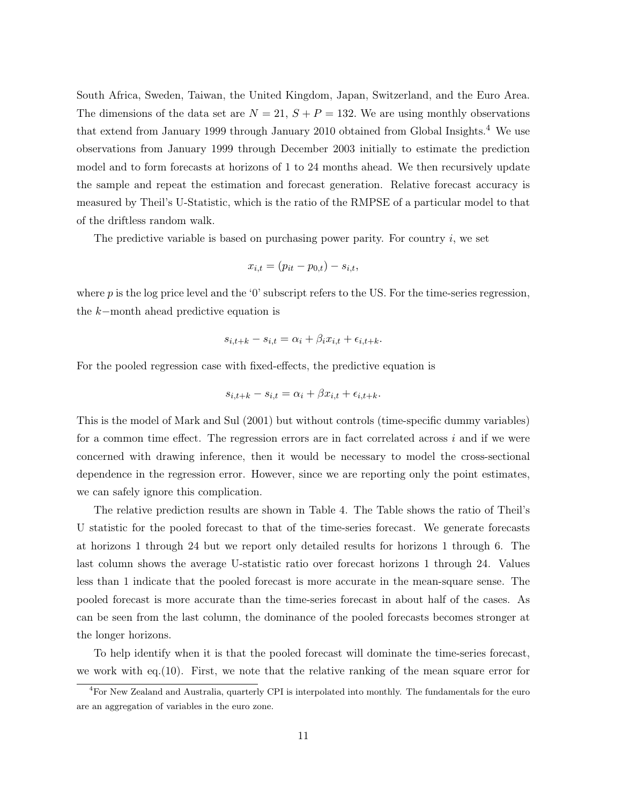South Africa, Sweden, Taiwan, the United Kingdom, Japan, Switzerland, and the Euro Area. The dimensions of the data set are  $N = 21$ ,  $S + P = 132$ . We are using monthly observations that extend from January 1999 through January 2010 obtained from Global Insights.<sup>4</sup> We use observations from January 1999 through December 2003 initially to estimate the prediction model and to form forecasts at horizons of 1 to 24 months ahead. We then recursively update the sample and repeat the estimation and forecast generation. Relative forecast accuracy is measured by Theil's U-Statistic, which is the ratio of the RMPSE of a particular model to that of the driftless random walk.

The predictive variable is based on purchasing power parity. For country  $i$ , we set

$$
x_{i,t} = (p_{it} - p_{0,t}) - s_{i,t},
$$

where  $p$  is the log price level and the '0' subscript refers to the US. For the time-series regression, the k−month ahead predictive equation is

$$
s_{i,t+k} - s_{i,t} = \alpha_i + \beta_i x_{i,t} + \epsilon_{i,t+k}.
$$

For the pooled regression case with fixed-effects, the predictive equation is

$$
s_{i,t+k} - s_{i,t} = \alpha_i + \beta x_{i,t} + \epsilon_{i,t+k}.
$$

This is the model of Mark and Sul (2001) but without controls (time-specific dummy variables) for a common time effect. The regression errors are in fact correlated across  $i$  and if we were concerned with drawing inference, then it would be necessary to model the cross-sectional dependence in the regression error. However, since we are reporting only the point estimates, we can safely ignore this complication.

The relative prediction results are shown in Table 4. The Table shows the ratio of Theil's U statistic for the pooled forecast to that of the time-series forecast. We generate forecasts at horizons 1 through 24 but we report only detailed results for horizons 1 through 6. The last column shows the average U-statistic ratio over forecast horizons 1 through 24. Values less than 1 indicate that the pooled forecast is more accurate in the mean-square sense. The pooled forecast is more accurate than the time-series forecast in about half of the cases. As can be seen from the last column, the dominance of the pooled forecasts becomes stronger at the longer horizons.

To help identify when it is that the pooled forecast will dominate the time-series forecast, we work with eq.  $(10)$ . First, we note that the relative ranking of the mean square error for

<sup>4</sup>For New Zealand and Australia, quarterly CPI is interpolated into monthly. The fundamentals for the euro are an aggregation of variables in the euro zone.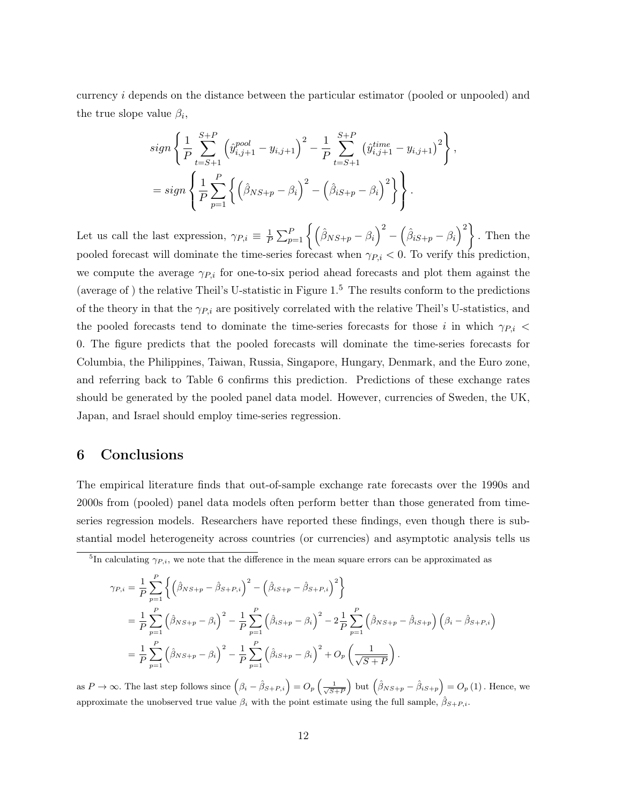currency i depends on the distance between the particular estimator (pooled or unpooled) and the true slope value  $\beta_i$ ,

$$
sign\left\{\frac{1}{P}\sum_{t=S+1}^{S+P}\left(\hat{y}_{i,j+1}^{pool} - y_{i,j+1}\right)^2 - \frac{1}{P}\sum_{t=S+1}^{S+P}\left(\hat{y}_{i,j+1}^{time} - y_{i,j+1}\right)^2\right\},\
$$
  
= sign
$$
\left\{\frac{1}{P}\sum_{p=1}^{P}\left\{\left(\hat{\beta}_{NS+p} - \beta_i\right)^2 - \left(\hat{\beta}_{iS+p} - \beta_i\right)^2\right\}\right\}.
$$

Let us call the last expression,  $\gamma_{P,i} \equiv \frac{1}{P}$  $\frac{1}{P}\sum_{p=1}^{P} \left\{\left(\hat{\beta}_{NS+p}-\beta_i\right)^2-\left(\hat{\beta}_{iS+p}-\beta_i\right)^2\right\}$ . Then the pooled forecast will dominate the time-series forecast when  $\gamma_{P,i} < 0$ . To verify this prediction, we compute the average  $\gamma_{P,i}$  for one-to-six period ahead forecasts and plot them against the (average of ) the relative Theil's U-statistic in Figure  $1<sup>5</sup>$  The results conform to the predictions of the theory in that the  $\gamma_{P,i}$  are positively correlated with the relative Theil's U-statistics, and the pooled forecasts tend to dominate the time-series forecasts for those i in which  $\gamma_{P,i}$  < 0. The figure predicts that the pooled forecasts will dominate the time-series forecasts for Columbia, the Philippines, Taiwan, Russia, Singapore, Hungary, Denmark, and the Euro zone, and referring back to Table 6 confirms this prediction. Predictions of these exchange rates should be generated by the pooled panel data model. However, currencies of Sweden, the UK, Japan, and Israel should employ time-series regression.

## 6 Conclusions

The empirical literature finds that out-of-sample exchange rate forecasts over the 1990s and 2000s from (pooled) panel data models often perform better than those generated from timeseries regression models. Researchers have reported these findings, even though there is substantial model heterogeneity across countries (or currencies) and asymptotic analysis tells us

$$
\gamma_{P,i} = \frac{1}{P} \sum_{p=1}^{P} \left\{ \left( \hat{\beta}_{NS+p} - \hat{\beta}_{S+P,i} \right)^2 - \left( \hat{\beta}_{iS+p} - \hat{\beta}_{S+P,i} \right)^2 \right\} \n= \frac{1}{P} \sum_{p=1}^{P} \left( \hat{\beta}_{NS+p} - \beta_i \right)^2 - \frac{1}{P} \sum_{p=1}^{P} \left( \hat{\beta}_{iS+p} - \beta_i \right)^2 - 2 \frac{1}{P} \sum_{p=1}^{P} \left( \hat{\beta}_{NS+p} - \hat{\beta}_{iS+p} \right) \left( \beta_i - \hat{\beta}_{S+P,i} \right) \n= \frac{1}{P} \sum_{p=1}^{P} \left( \hat{\beta}_{NS+p} - \beta_i \right)^2 - \frac{1}{P} \sum_{p=1}^{P} \left( \hat{\beta}_{iS+p} - \beta_i \right)^2 + O_p \left( \frac{1}{\sqrt{S+P}} \right).
$$

as  $P \to \infty$ . The last step follows since  $(\beta_i - \hat{\beta}_{S+P,i}) = O_p\left(\frac{1}{\sqrt{S+P}}\right)$  but  $(\hat{\beta}_{NS+p} - \hat{\beta}_{iS+p}) = O_p(1)$ . Hence, we approximate the unobserved true value  $\beta_i$  with the point estimate using the full sample,  $\hat{\beta}_{S+P,i}$ .

<sup>&</sup>lt;sup>5</sup>In calculating  $\gamma_{P,i}$ , we note that the difference in the mean square errors can be approximated as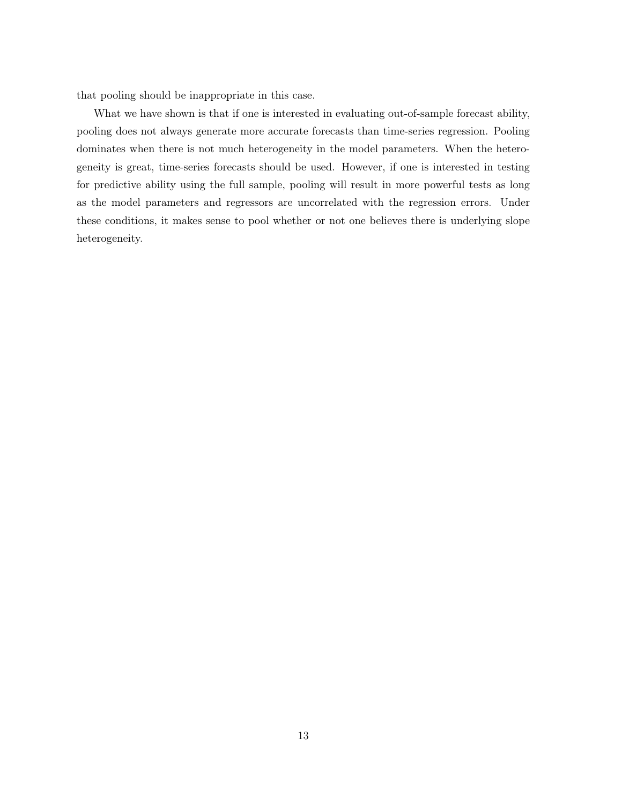that pooling should be inappropriate in this case.

What we have shown is that if one is interested in evaluating out-of-sample forecast ability, pooling does not always generate more accurate forecasts than time-series regression. Pooling dominates when there is not much heterogeneity in the model parameters. When the heterogeneity is great, time-series forecasts should be used. However, if one is interested in testing for predictive ability using the full sample, pooling will result in more powerful tests as long as the model parameters and regressors are uncorrelated with the regression errors. Under these conditions, it makes sense to pool whether or not one believes there is underlying slope heterogeneity.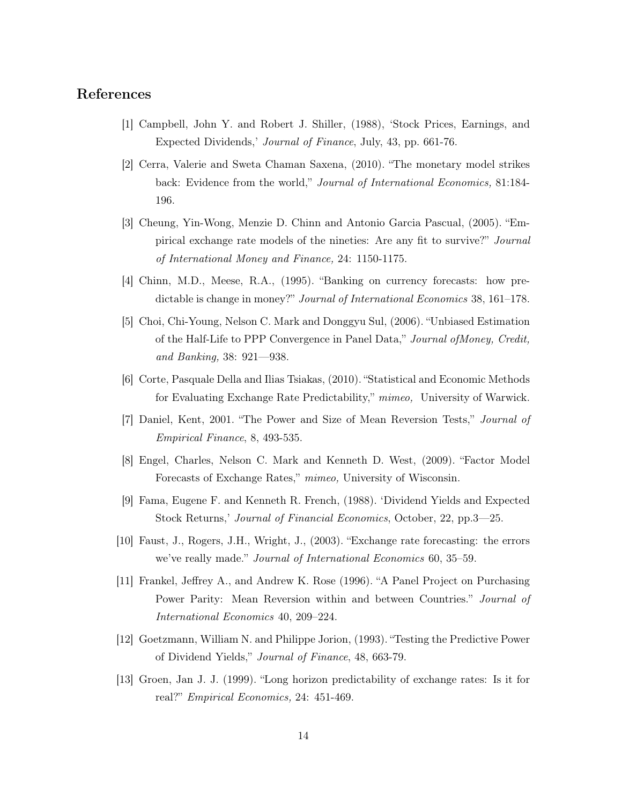# References

- [1] Campbell, John Y. and Robert J. Shiller, (1988), 'Stock Prices, Earnings, and Expected Dividends,' Journal of Finance, July, 43, pp. 661-76.
- [2] Cerra, Valerie and Sweta Chaman Saxena, (2010). "The monetary model strikes back: Evidence from the world," Journal of International Economics, 81:184-196.
- [3] Cheung, Yin-Wong, Menzie D. Chinn and Antonio Garcia Pascual, (2005). "Empirical exchange rate models of the nineties: Are any fit to survive?" Journal of International Money and Finance, 24: 1150-1175.
- [4] Chinn, M.D., Meese, R.A., (1995). "Banking on currency forecasts: how predictable is change in money?" Journal of International Economics 38, 161–178.
- [5] Choi, Chi-Young, Nelson C. Mark and Donggyu Sul, (2006). "Unbiased Estimation of the Half-Life to PPP Convergence in Panel Data," Journal ofMoney, Credit, and Banking, 38: 921—938.
- [6] Corte, Pasquale Della and Ilias Tsiakas, (2010). "Statistical and Economic Methods for Evaluating Exchange Rate Predictability," mimeo, University of Warwick.
- [7] Daniel, Kent, 2001. "The Power and Size of Mean Reversion Tests," Journal of Empirical Finance, 8, 493-535.
- [8] Engel, Charles, Nelson C. Mark and Kenneth D. West, (2009). "Factor Model Forecasts of Exchange Rates," mimeo, University of Wisconsin.
- [9] Fama, Eugene F. and Kenneth R. French, (1988). 'Dividend Yields and Expected Stock Returns,' Journal of Financial Economics, October, 22, pp.3—25.
- [10] Faust, J., Rogers, J.H., Wright, J., (2003). "Exchange rate forecasting: the errors we've really made." Journal of International Economics 60, 35–59.
- [11] Frankel, Jeffrey A., and Andrew K. Rose (1996). "A Panel Project on Purchasing Power Parity: Mean Reversion within and between Countries." Journal of International Economics 40, 209–224.
- [12] Goetzmann, William N. and Philippe Jorion, (1993). "Testing the Predictive Power of Dividend Yields," Journal of Finance, 48, 663-79.
- [13] Groen, Jan J. J. (1999). "Long horizon predictability of exchange rates: Is it for real?" Empirical Economics, 24: 451-469.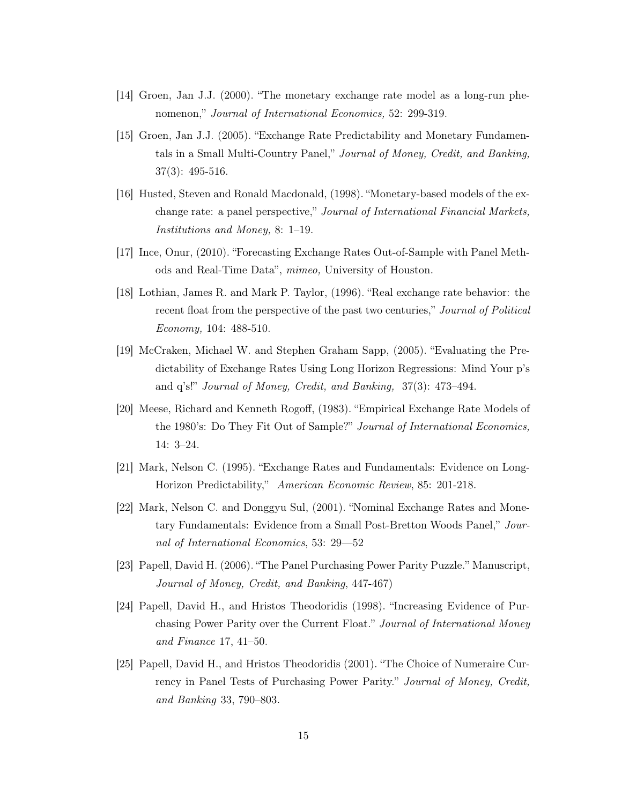- [14] Groen, Jan J.J. (2000). "The monetary exchange rate model as a long-run phenomenon," Journal of International Economics, 52: 299-319.
- [15] Groen, Jan J.J. (2005). "Exchange Rate Predictability and Monetary Fundamentals in a Small Multi-Country Panel," Journal of Money, Credit, and Banking, 37(3): 495-516.
- [16] Husted, Steven and Ronald Macdonald, (1998). "Monetary-based models of the exchange rate: a panel perspective," Journal of International Financial Markets, Institutions and Money, 8: 1–19.
- [17] Ince, Onur, (2010). "Forecasting Exchange Rates Out-of-Sample with Panel Methods and Real-Time Data", mimeo, University of Houston.
- [18] Lothian, James R. and Mark P. Taylor, (1996). "Real exchange rate behavior: the recent float from the perspective of the past two centuries," *Journal of Political* Economy, 104: 488-510.
- [19] McCraken, Michael W. and Stephen Graham Sapp, (2005). "Evaluating the Predictability of Exchange Rates Using Long Horizon Regressions: Mind Your p's and q's!" Journal of Money, Credit, and Banking, 37(3): 473–494.
- [20] Meese, Richard and Kenneth Rogoff, (1983). "Empirical Exchange Rate Models of the 1980's: Do They Fit Out of Sample?" Journal of International Economics, 14: 3–24.
- [21] Mark, Nelson C. (1995). "Exchange Rates and Fundamentals: Evidence on Long-Horizon Predictability," American Economic Review, 85: 201-218.
- [22] Mark, Nelson C. and Donggyu Sul, (2001). "Nominal Exchange Rates and Monetary Fundamentals: Evidence from a Small Post-Bretton Woods Panel," Journal of International Economics, 53: 29—52
- [23] Papell, David H. (2006). "The Panel Purchasing Power Parity Puzzle." Manuscript, Journal of Money, Credit, and Banking, 447-467)
- [24] Papell, David H., and Hristos Theodoridis (1998). "Increasing Evidence of Purchasing Power Parity over the Current Float." Journal of International Money and Finance 17, 41–50.
- [25] Papell, David H., and Hristos Theodoridis (2001). "The Choice of Numeraire Currency in Panel Tests of Purchasing Power Parity." Journal of Money, Credit, and Banking 33, 790–803.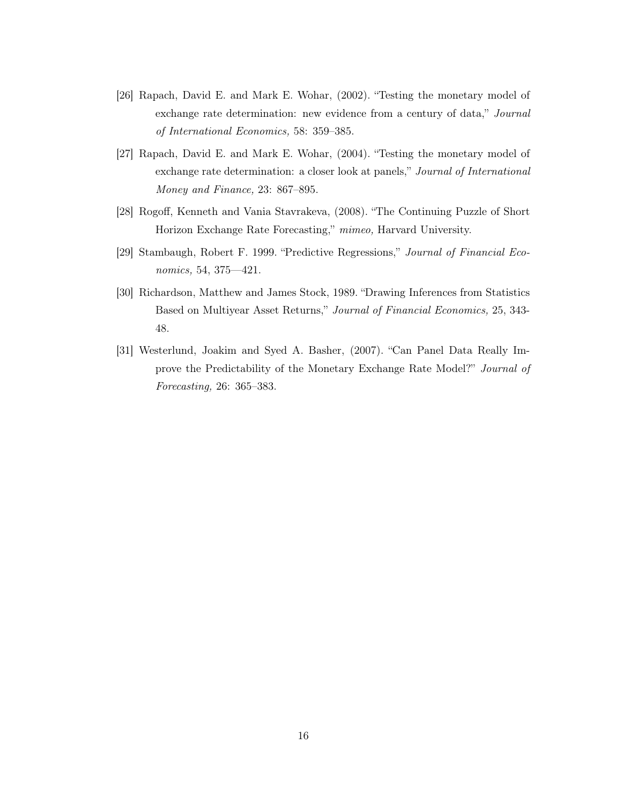- [26] Rapach, David E. and Mark E. Wohar, (2002). "Testing the monetary model of exchange rate determination: new evidence from a century of data," Journal of International Economics, 58: 359–385.
- [27] Rapach, David E. and Mark E. Wohar, (2004). "Testing the monetary model of exchange rate determination: a closer look at panels," Journal of International Money and Finance, 23: 867–895.
- [28] Rogoff, Kenneth and Vania Stavrakeva, (2008). "The Continuing Puzzle of Short Horizon Exchange Rate Forecasting," mimeo, Harvard University.
- [29] Stambaugh, Robert F. 1999. "Predictive Regressions," Journal of Financial Economics, 54, 375—421.
- [30] Richardson, Matthew and James Stock, 1989. "Drawing Inferences from Statistics Based on Multiyear Asset Returns," Journal of Financial Economics, 25, 343- 48.
- [31] Westerlund, Joakim and Syed A. Basher, (2007). "Can Panel Data Really Improve the Predictability of the Monetary Exchange Rate Model?" Journal of Forecasting, 26: 365–383.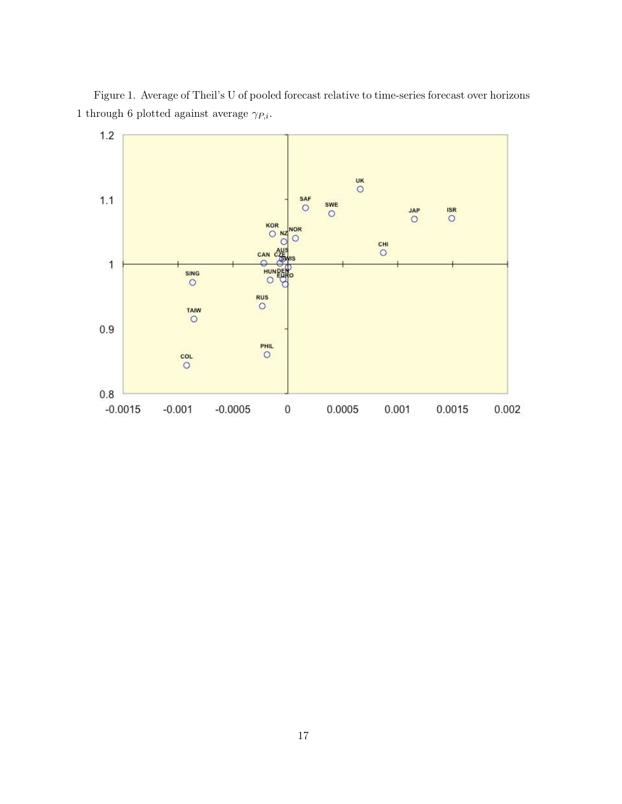Figure 1. Average of Theil's U of pooled forecast relative to time-series forecast over horizons 1 through 6 plotted against average  $\gamma_{P,i}.$ 

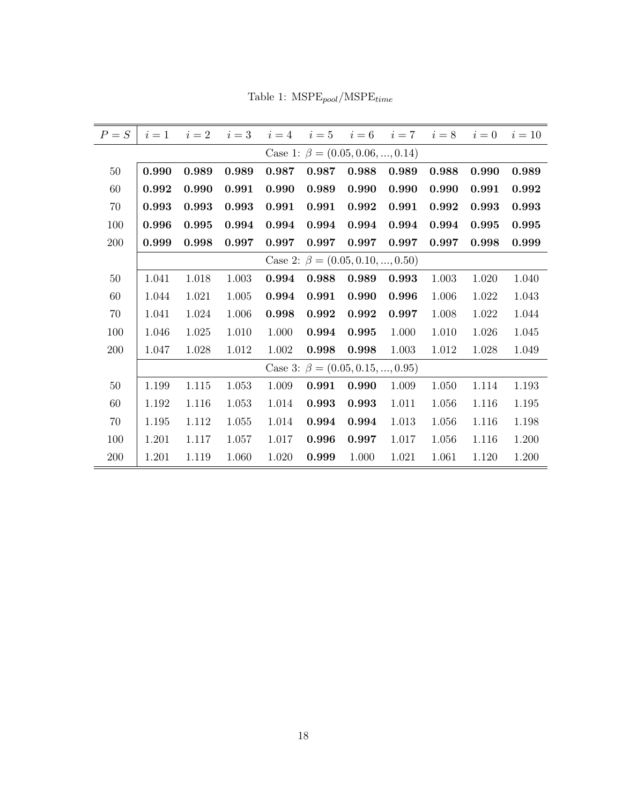| $P = S$ | $i=1$ | $i=2$ | $i=3$ | $i=4$ | $i=5$                                  | $i=6$ | $i=7$ | $i=8$ | $i=0$ | $i=10$ |
|---------|-------|-------|-------|-------|----------------------------------------|-------|-------|-------|-------|--------|
|         |       |       |       |       | Case 1: $\beta = (0.05, 0.06, , 0.14)$ |       |       |       |       |        |
| $50\,$  | 0.990 | 0.989 | 0.989 | 0.987 | 0.987                                  | 0.988 | 0.989 | 0.988 | 0.990 | 0.989  |
| 60      | 0.992 | 0.990 | 0.991 | 0.990 | 0.989                                  | 0.990 | 0.990 | 0.990 | 0.991 | 0.992  |
| 70      | 0.993 | 0.993 | 0.993 | 0.991 | 0.991                                  | 0.992 | 0.991 | 0.992 | 0.993 | 0.993  |
| 100     | 0.996 | 0.995 | 0.994 | 0.994 | 0.994                                  | 0.994 | 0.994 | 0.994 | 0.995 | 0.995  |
| 200     | 0.999 | 0.998 | 0.997 | 0.997 | 0.997                                  | 0.997 | 0.997 | 0.997 | 0.998 | 0.999  |
|         |       |       |       |       | Case 2: $\beta = (0.05, 0.10, , 0.50)$ |       |       |       |       |        |
| 50      | 1.041 | 1.018 | 1.003 | 0.994 | 0.988                                  | 0.989 | 0.993 | 1.003 | 1.020 | 1.040  |
| 60      | 1.044 | 1.021 | 1.005 | 0.994 | 0.991                                  | 0.990 | 0.996 | 1.006 | 1.022 | 1.043  |
| 70      | 1.041 | 1.024 | 1.006 | 0.998 | 0.992                                  | 0.992 | 0.997 | 1.008 | 1.022 | 1.044  |
| 100     | 1.046 | 1.025 | 1.010 | 1.000 | 0.994                                  | 0.995 | 1.000 | 1.010 | 1.026 | 1.045  |
| 200     | 1.047 | 1.028 | 1.012 | 1.002 | 0.998                                  | 0.998 | 1.003 | 1.012 | 1.028 | 1.049  |
|         |       |       |       |       | Case 3: $\beta = (0.05, 0.15, , 0.95)$ |       |       |       |       |        |
| $50\,$  | 1.199 | 1.115 | 1.053 | 1.009 | 0.991                                  | 0.990 | 1.009 | 1.050 | 1.114 | 1.193  |
| 60      | 1.192 | 1.116 | 1.053 | 1.014 | 0.993                                  | 0.993 | 1.011 | 1.056 | 1.116 | 1.195  |
| 70      | 1.195 | 1.112 | 1.055 | 1.014 | 0.994                                  | 0.994 | 1.013 | 1.056 | 1.116 | 1.198  |
| 100     | 1.201 | 1.117 | 1.057 | 1.017 | 0.996                                  | 0.997 | 1.017 | 1.056 | 1.116 | 1.200  |
| 200     | 1.201 | 1.119 | 1.060 | 1.020 | 0.999                                  | 1.000 | 1.021 | 1.061 | 1.120 | 1.200  |

Table 1:  $\ensuremath{\mathrm{MSPE}_{pool}}/\ensuremath{\mathrm{MSPE}_{time}}$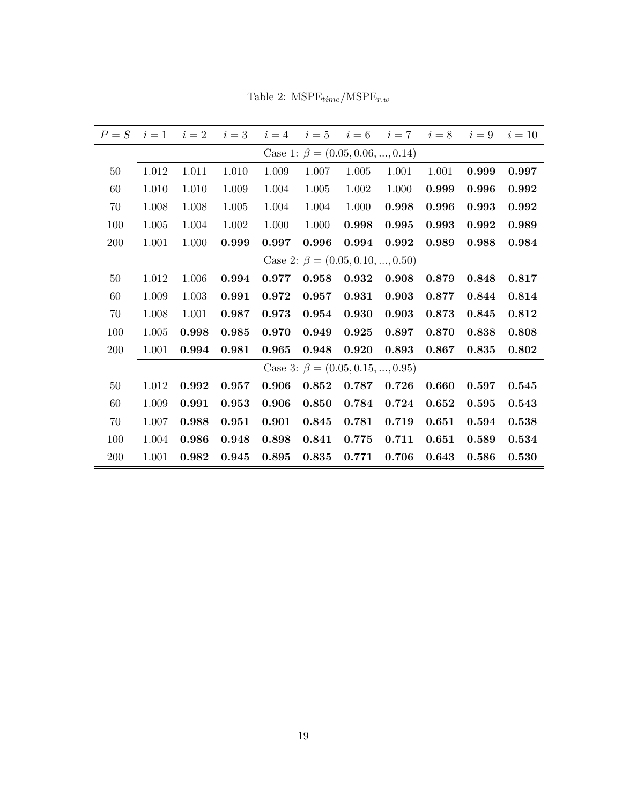| $P = S$ |                                        | $i=1$ $i=2$ | $i=3$ | $i=4$ | $i = 5$ $i = 6$ $i = 7$ $i = 8$ $i = 9$ |       |       |       |       | $i=10$ |  |
|---------|----------------------------------------|-------------|-------|-------|-----------------------------------------|-------|-------|-------|-------|--------|--|
|         | Case 1: $\beta = (0.05, 0.06, , 0.14)$ |             |       |       |                                         |       |       |       |       |        |  |
| $50\,$  | 1.012                                  | 1.011       | 1.010 | 1.009 | 1.007                                   | 1.005 | 1.001 | 1.001 | 0.999 | 0.997  |  |
| 60      | 1.010                                  | 1.010       | 1.009 | 1.004 | 1.005                                   | 1.002 | 1.000 | 0.999 | 0.996 | 0.992  |  |
| 70      | 1.008                                  | 1.008       | 1.005 | 1.004 | 1.004                                   | 1.000 | 0.998 | 0.996 | 0.993 | 0.992  |  |
| 100     | 1.005                                  | 1.004       | 1.002 | 1.000 | 1.000                                   | 0.998 | 0.995 | 0.993 | 0.992 | 0.989  |  |
| 200     | 1.001                                  | 1.000       | 0.999 | 0.997 | 0.996                                   | 0.994 | 0.992 | 0.989 | 0.988 | 0.984  |  |
|         |                                        |             |       |       | Case 2: $\beta = (0.05, 0.10, , 0.50)$  |       |       |       |       |        |  |
| $50\,$  | 1.012                                  | 1.006       | 0.994 | 0.977 | 0.958                                   | 0.932 | 0.908 | 0.879 | 0.848 | 0.817  |  |
| 60      | 1.009                                  | 1.003       | 0.991 | 0.972 | 0.957                                   | 0.931 | 0.903 | 0.877 | 0.844 | 0.814  |  |
| 70      | 1.008                                  | 1.001       | 0.987 | 0.973 | 0.954                                   | 0.930 | 0.903 | 0.873 | 0.845 | 0.812  |  |
| 100     | 1.005                                  | 0.998       | 0.985 | 0.970 | 0.949                                   | 0.925 | 0.897 | 0.870 | 0.838 | 0.808  |  |
| 200     | 1.001                                  | 0.994       | 0.981 | 0.965 | 0.948                                   | 0.920 | 0.893 | 0.867 | 0.835 | 0.802  |  |
|         |                                        |             |       |       | Case 3: $\beta = (0.05, 0.15, , 0.95)$  |       |       |       |       |        |  |
| $50\,$  | 1.012                                  | 0.992       | 0.957 | 0.906 | 0.852                                   | 0.787 | 0.726 | 0.660 | 0.597 | 0.545  |  |
| 60      | 1.009                                  | 0.991       | 0.953 | 0.906 | 0.850                                   | 0.784 | 0.724 | 0.652 | 0.595 | 0.543  |  |
| 70      | 1.007                                  | 0.988       | 0.951 | 0.901 | 0.845                                   | 0.781 | 0.719 | 0.651 | 0.594 | 0.538  |  |
| 100     | 1.004                                  | 0.986       | 0.948 | 0.898 | 0.841                                   | 0.775 | 0.711 | 0.651 | 0.589 | 0.534  |  |
| 200     | 1.001                                  | 0.982       | 0.945 | 0.895 | 0.835                                   | 0.771 | 0.706 | 0.643 | 0.586 | 0.530  |  |

Table 2:  $\ensuremath{\mathrm{MSPE}_{time}}/\ensuremath{\mathrm{MSPE}_{r.w}}$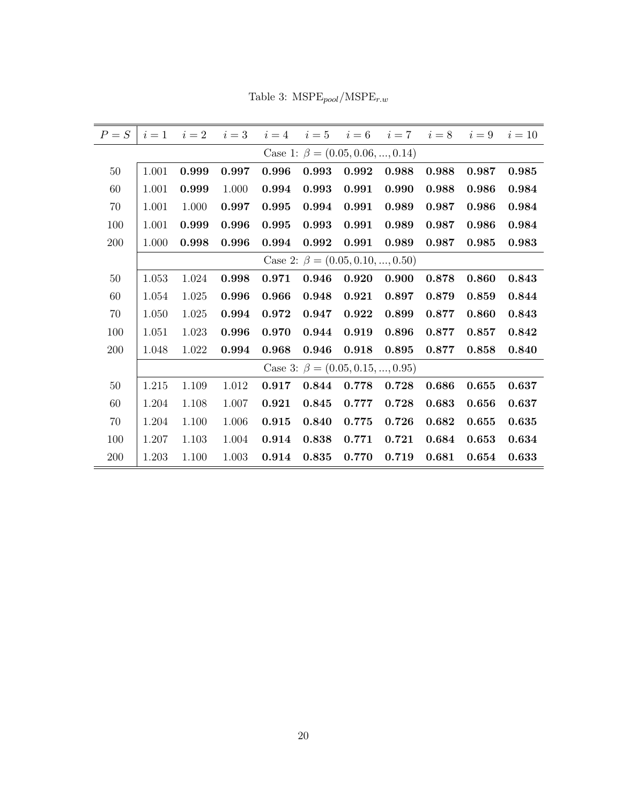Table 3:  $\ensuremath{\mathrm{MSPE}_{pool}}/\ensuremath{\mathrm{MSPE}_{r.w}}$ 

| $P = S$ | $i=1$ $i=2$ |       | $i=3$ |       |                                        |       | $i = 4$ $i = 5$ $i = 6$ $i = 7$ $i = 8$ $i = 9$ |       |       | $i=10$ |
|---------|-------------|-------|-------|-------|----------------------------------------|-------|-------------------------------------------------|-------|-------|--------|
|         |             |       |       |       | Case 1: $\beta = (0.05, 0.06, , 0.14)$ |       |                                                 |       |       |        |
| $50\,$  | 1.001       | 0.999 | 0.997 | 0.996 | 0.993                                  | 0.992 | 0.988                                           | 0.988 | 0.987 | 0.985  |
| 60      | 1.001       | 0.999 | 1.000 | 0.994 | 0.993                                  | 0.991 | 0.990                                           | 0.988 | 0.986 | 0.984  |
| 70      | 1.001       | 1.000 | 0.997 | 0.995 | 0.994                                  | 0.991 | 0.989                                           | 0.987 | 0.986 | 0.984  |
| 100     | 1.001       | 0.999 | 0.996 | 0.995 | 0.993                                  | 0.991 | 0.989                                           | 0.987 | 0.986 | 0.984  |
| 200     | 1.000       | 0.998 | 0.996 | 0.994 | 0.992                                  | 0.991 | 0.989                                           | 0.987 | 0.985 | 0.983  |
|         |             |       |       |       | Case 2: $\beta = (0.05, 0.10, , 0.50)$ |       |                                                 |       |       |        |
| $50\,$  | 1.053       | 1.024 | 0.998 | 0.971 | 0.946                                  | 0.920 | 0.900                                           | 0.878 | 0.860 | 0.843  |
| 60      | 1.054       | 1.025 | 0.996 | 0.966 | 0.948                                  | 0.921 | 0.897                                           | 0.879 | 0.859 | 0.844  |
| 70      | 1.050       | 1.025 | 0.994 | 0.972 | 0.947                                  | 0.922 | 0.899                                           | 0.877 | 0.860 | 0.843  |
| 100     | 1.051       | 1.023 | 0.996 | 0.970 | 0.944                                  | 0.919 | 0.896                                           | 0.877 | 0.857 | 0.842  |
| 200     | 1.048       | 1.022 | 0.994 | 0.968 | 0.946                                  | 0.918 | 0.895                                           | 0.877 | 0.858 | 0.840  |
|         |             |       |       |       | Case 3: $\beta = (0.05, 0.15, , 0.95)$ |       |                                                 |       |       |        |
| $50\,$  | 1.215       | 1.109 | 1.012 | 0.917 | 0.844                                  | 0.778 | 0.728                                           | 0.686 | 0.655 | 0.637  |
| 60      | 1.204       | 1.108 | 1.007 | 0.921 | 0.845                                  | 0.777 | 0.728                                           | 0.683 | 0.656 | 0.637  |
| 70      | 1.204       | 1.100 | 1.006 | 0.915 | 0.840                                  | 0.775 | 0.726                                           | 0.682 | 0.655 | 0.635  |
| 100     | 1.207       | 1.103 | 1.004 | 0.914 | 0.838                                  | 0.771 | 0.721                                           | 0.684 | 0.653 | 0.634  |
| 200     | 1.203       | 1.100 | 1.003 | 0.914 | 0.835                                  | 0.770 | 0.719                                           | 0.681 | 0.654 | 0.633  |